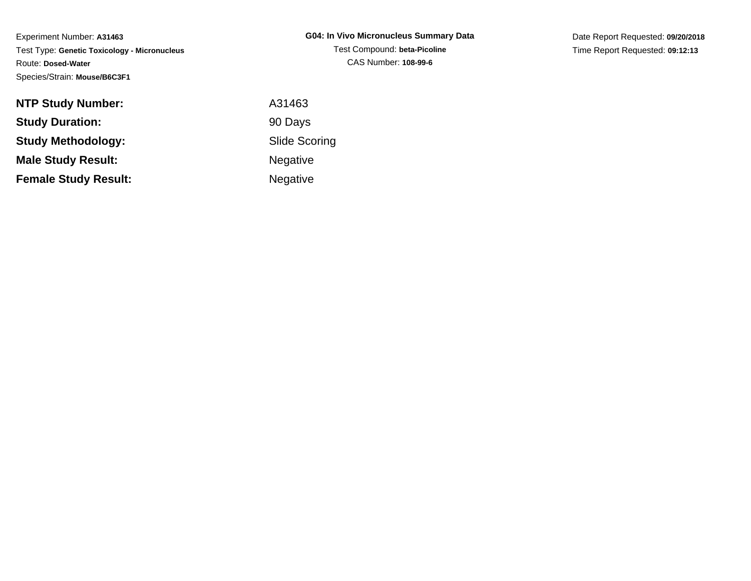| <b>NTP Study Number:</b>    | A31463               |
|-----------------------------|----------------------|
| <b>Study Duration:</b>      | 90 Days              |
| Study Methodology:          | <b>Slide Scoring</b> |
| <b>Male Study Result:</b>   | <b>Negative</b>      |
| <b>Female Study Result:</b> | <b>Negative</b>      |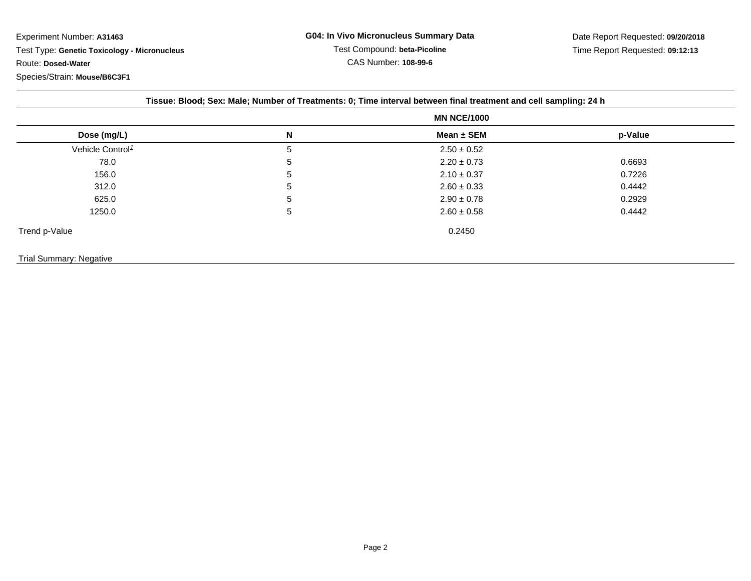|                              |   | <b>MN NCE/1000</b> |         |  |
|------------------------------|---|--------------------|---------|--|
| Dose (mg/L)                  | N | Mean $\pm$ SEM     | p-Value |  |
| Vehicle Control <sup>1</sup> | 5 | $2.50 \pm 0.52$    |         |  |
| 78.0                         | 5 | $2.20 \pm 0.73$    | 0.6693  |  |
| 156.0                        | 5 | $2.10 \pm 0.37$    | 0.7226  |  |
| 312.0                        | 5 | $2.60 \pm 0.33$    | 0.4442  |  |
| 625.0                        | 5 | $2.90 \pm 0.78$    | 0.2929  |  |
| 1250.0                       | 5 | $2.60 \pm 0.58$    | 0.4442  |  |
| Trend p-Value                |   | 0.2450             |         |  |
| Trial Summary: Negative      |   |                    |         |  |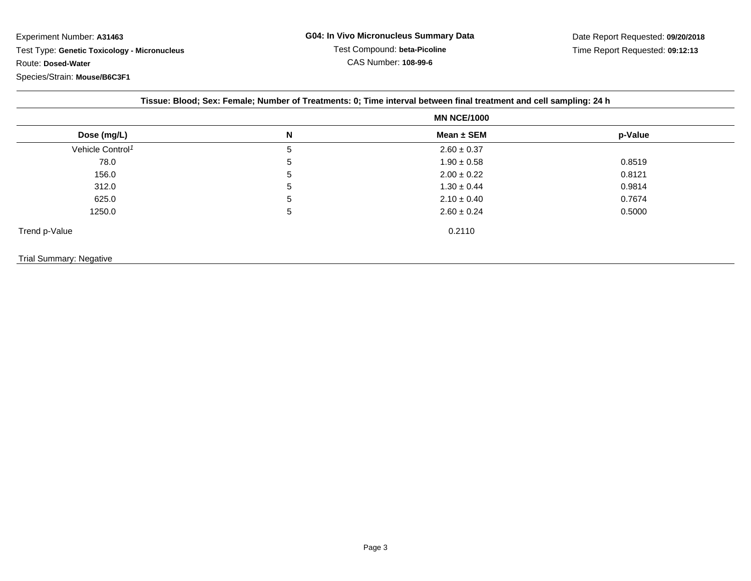|                              | <b>MN NCE/1000</b> |                 |         |
|------------------------------|--------------------|-----------------|---------|
| Dose (mg/L)                  | N                  | Mean $\pm$ SEM  | p-Value |
| Vehicle Control <sup>1</sup> | 5                  | $2.60 \pm 0.37$ |         |
| 78.0                         | 5                  | $1.90 \pm 0.58$ | 0.8519  |
| 156.0                        | 5                  | $2.00 \pm 0.22$ | 0.8121  |
| 312.0                        | 5                  | $1.30 \pm 0.44$ | 0.9814  |
| 625.0                        | 5                  | $2.10 \pm 0.40$ | 0.7674  |
| 1250.0                       | 5                  | $2.60 \pm 0.24$ | 0.5000  |
| Trend p-Value                |                    | 0.2110          |         |